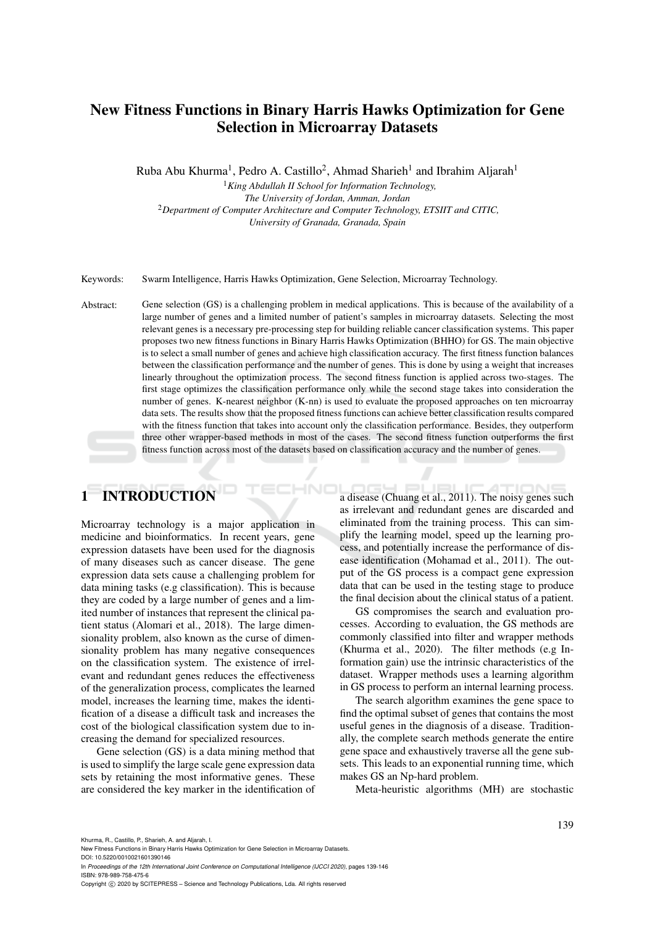# New Fitness Functions in Binary Harris Hawks Optimization for Gene Selection in Microarray Datasets

Ruba Abu Khurma<sup>1</sup>, Pedro A. Castillo<sup>2</sup>, Ahmad Sharieh<sup>1</sup> and Ibrahim Aljarah<sup>1</sup>

<sup>1</sup>*King Abdullah II School for Information Technology, The University of Jordan, Amman, Jordan* <sup>2</sup>*Department of Computer Architecture and Computer Technology, ETSIIT and CITIC, University of Granada, Granada, Spain*

Keywords: Swarm Intelligence, Harris Hawks Optimization, Gene Selection, Microarray Technology.

Abstract: Gene selection (GS) is a challenging problem in medical applications. This is because of the availability of a large number of genes and a limited number of patient's samples in microarray datasets. Selecting the most relevant genes is a necessary pre-processing step for building reliable cancer classification systems. This paper proposes two new fitness functions in Binary Harris Hawks Optimization (BHHO) for GS. The main objective is to select a small number of genes and achieve high classification accuracy. The first fitness function balances between the classification performance and the number of genes. This is done by using a weight that increases linearly throughout the optimization process. The second fitness function is applied across two-stages. The first stage optimizes the classification performance only while the second stage takes into consideration the number of genes. K-nearest neighbor (K-nn) is used to evaluate the proposed approaches on ten microarray data sets. The results show that the proposed fitness functions can achieve better classification results compared with the fitness function that takes into account only the classification performance. Besides, they outperform three other wrapper-based methods in most of the cases. The second fitness function outperforms the first fitness function across most of the datasets based on classification accuracy and the number of genes.

# 1 INTRODUCTION

Microarray technology is a major application in medicine and bioinformatics. In recent years, gene expression datasets have been used for the diagnosis of many diseases such as cancer disease. The gene expression data sets cause a challenging problem for data mining tasks (e.g classification). This is because they are coded by a large number of genes and a limited number of instances that represent the clinical patient status (Alomari et al., 2018). The large dimensionality problem, also known as the curse of dimensionality problem has many negative consequences on the classification system. The existence of irrelevant and redundant genes reduces the effectiveness of the generalization process, complicates the learned model, increases the learning time, makes the identification of a disease a difficult task and increases the cost of the biological classification system due to increasing the demand for specialized resources.

Gene selection (GS) is a data mining method that is used to simplify the large scale gene expression data sets by retaining the most informative genes. These are considered the key marker in the identification of a disease (Chuang et al., 2011). The noisy genes such as irrelevant and redundant genes are discarded and eliminated from the training process. This can simplify the learning model, speed up the learning process, and potentially increase the performance of disease identification (Mohamad et al., 2011). The output of the GS process is a compact gene expression data that can be used in the testing stage to produce the final decision about the clinical status of a patient.

GS compromises the search and evaluation processes. According to evaluation, the GS methods are commonly classified into filter and wrapper methods (Khurma et al., 2020). The filter methods (e.g Information gain) use the intrinsic characteristics of the dataset. Wrapper methods uses a learning algorithm in GS process to perform an internal learning process.

The search algorithm examines the gene space to find the optimal subset of genes that contains the most useful genes in the diagnosis of a disease. Traditionally, the complete search methods generate the entire gene space and exhaustively traverse all the gene subsets. This leads to an exponential running time, which makes GS an Np-hard problem.

Meta-heuristic algorithms (MH) are stochastic

Khurma, R., Castillo, P., Sharieh, A. and Aljarah, I.

New Fitness Functions in Binary Harris Hawks Optimization for Gene Selection in Microarray Datasets.

DOI: 10.5220/0010021601390146 In *Proceedings of the 12th International Joint Conference on Computational Intelligence (IJCCI 2020)*, pages 139-146 ISBN: 978-989-758-475-6

Copyright (C) 2020 by SCITEPRESS - Science and Technology Publications, Lda. All rights reserved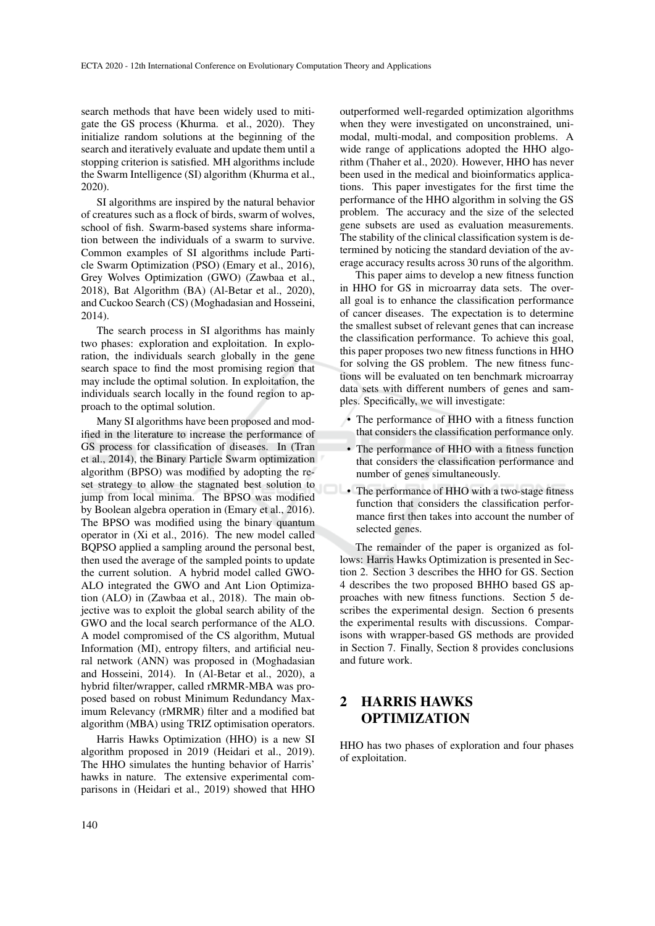search methods that have been widely used to mitigate the GS process (Khurma. et al., 2020). They initialize random solutions at the beginning of the search and iteratively evaluate and update them until a stopping criterion is satisfied. MH algorithms include the Swarm Intelligence (SI) algorithm (Khurma et al., 2020).

SI algorithms are inspired by the natural behavior of creatures such as a flock of birds, swarm of wolves, school of fish. Swarm-based systems share information between the individuals of a swarm to survive. Common examples of SI algorithms include Particle Swarm Optimization (PSO) (Emary et al., 2016), Grey Wolves Optimization (GWO) (Zawbaa et al., 2018), Bat Algorithm (BA) (Al-Betar et al., 2020), and Cuckoo Search (CS) (Moghadasian and Hosseini, 2014).

The search process in SI algorithms has mainly two phases: exploration and exploitation. In exploration, the individuals search globally in the gene search space to find the most promising region that may include the optimal solution. In exploitation, the individuals search locally in the found region to approach to the optimal solution.

Many SI algorithms have been proposed and modified in the literature to increase the performance of GS process for classification of diseases. In (Tran et al., 2014), the Binary Particle Swarm optimization algorithm (BPSO) was modified by adopting the reset strategy to allow the stagnated best solution to jump from local minima. The BPSO was modified by Boolean algebra operation in (Emary et al., 2016). The BPSO was modified using the binary quantum operator in (Xi et al., 2016). The new model called BQPSO applied a sampling around the personal best, then used the average of the sampled points to update the current solution. A hybrid model called GWO-ALO integrated the GWO and Ant Lion Optimization (ALO) in (Zawbaa et al., 2018). The main objective was to exploit the global search ability of the GWO and the local search performance of the ALO. A model compromised of the CS algorithm, Mutual Information (MI), entropy filters, and artificial neural network (ANN) was proposed in (Moghadasian and Hosseini, 2014). In (Al-Betar et al., 2020), a hybrid filter/wrapper, called rMRMR-MBA was proposed based on robust Minimum Redundancy Maximum Relevancy (rMRMR) filter and a modified bat algorithm (MBA) using TRIZ optimisation operators.

Harris Hawks Optimization (HHO) is a new SI algorithm proposed in 2019 (Heidari et al., 2019). The HHO simulates the hunting behavior of Harris' hawks in nature. The extensive experimental comparisons in (Heidari et al., 2019) showed that HHO

outperformed well-regarded optimization algorithms when they were investigated on unconstrained, unimodal, multi-modal, and composition problems. A wide range of applications adopted the HHO algorithm (Thaher et al., 2020). However, HHO has never been used in the medical and bioinformatics applications. This paper investigates for the first time the performance of the HHO algorithm in solving the GS problem. The accuracy and the size of the selected gene subsets are used as evaluation measurements. The stability of the clinical classification system is determined by noticing the standard deviation of the average accuracy results across 30 runs of the algorithm.

This paper aims to develop a new fitness function in HHO for GS in microarray data sets. The overall goal is to enhance the classification performance of cancer diseases. The expectation is to determine the smallest subset of relevant genes that can increase the classification performance. To achieve this goal, this paper proposes two new fitness functions in HHO for solving the GS problem. The new fitness functions will be evaluated on ten benchmark microarray data sets with different numbers of genes and samples. Specifically, we will investigate:

- The performance of HHO with a fitness function that considers the classification performance only.
- The performance of HHO with a fitness function that considers the classification performance and number of genes simultaneously.
- The performance of HHO with a two-stage fitness function that considers the classification performance first then takes into account the number of selected genes.

The remainder of the paper is organized as follows: Harris Hawks Optimization is presented in Section 2. Section 3 describes the HHO for GS. Section 4 describes the two proposed BHHO based GS approaches with new fitness functions. Section 5 describes the experimental design. Section 6 presents the experimental results with discussions. Comparisons with wrapper-based GS methods are provided in Section 7. Finally, Section 8 provides conclusions and future work.

## 2 HARRIS HAWKS OPTIMIZATION

HHO has two phases of exploration and four phases of exploitation.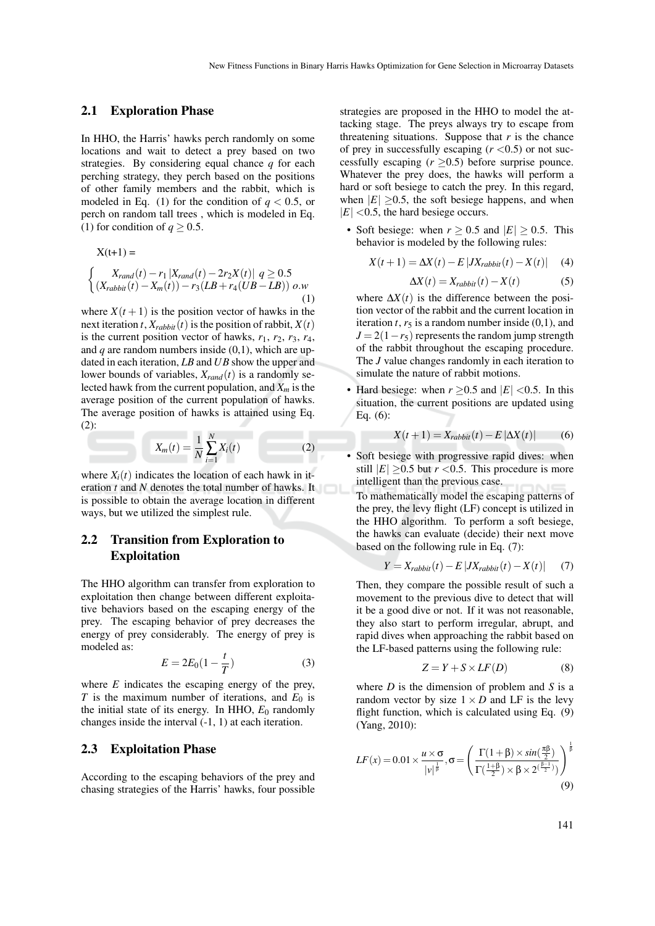#### 2.1 Exploration Phase

In HHO, the Harris' hawks perch randomly on some locations and wait to detect a prey based on two strategies. By considering equal chance *q* for each perching strategy, they perch based on the positions of other family members and the rabbit, which is modeled in Eq. (1) for the condition of  $q < 0.5$ , or perch on random tall trees , which is modeled in Eq. (1) for condition of  $q \ge 0.5$ .

$$
X(t+1) =
$$
  
\n
$$
\begin{cases}\nX_{rand}(t) - r_1 | X_{rand}(t) - 2r_2 X(t) | q \ge 0.5 \\
(X_{rabbit}(t) - X_m(t)) - r_3(LB + r_4(UB - LB)) o.w\n\end{cases}
$$
 (1)

where  $X(t+1)$  is the position vector of hawks in the next iteration *t*,  $X_{rabbit}(t)$  is the position of rabbit,  $X(t)$ is the current position vector of hawks,  $r_1$ ,  $r_2$ ,  $r_3$ ,  $r_4$ , and *q* are random numbers inside (0,1), which are updated in each iteration, *LB* and *UB* show the upper and lower bounds of variables,  $X_{rand}(t)$  is a randomly selected hawk from the current population, and *X<sup>m</sup>* is the average position of the current population of hawks. The average position of hawks is attained using Eq. (2):

$$
X_m(t) = \frac{1}{N} \sum_{i=1}^{N} X_i(t)
$$
 (2)

where  $X_i(t)$  indicates the location of each hawk in iteration *t* and *N* denotes the total number of hawks. It is possible to obtain the average location in different ways, but we utilized the simplest rule.

## 2.2 Transition from Exploration to Exploitation

The HHO algorithm can transfer from exploration to exploitation then change between different exploitative behaviors based on the escaping energy of the prey. The escaping behavior of prey decreases the energy of prey considerably. The energy of prey is modeled as:

$$
E = 2E_0(1 - \frac{t}{T})
$$
\n(3)

where *E* indicates the escaping energy of the prey, *T* is the maximum number of iterations, and  $E_0$  is the initial state of its energy. In HHO,  $E_0$  randomly changes inside the interval (-1, 1) at each iteration.

#### 2.3 Exploitation Phase

According to the escaping behaviors of the prey and chasing strategies of the Harris' hawks, four possible

strategies are proposed in the HHO to model the attacking stage. The preys always try to escape from threatening situations. Suppose that  $r$  is the chance of prey in successfully escaping  $(r < 0.5)$  or not successfully escaping  $(r \ge 0.5)$  before surprise pounce. Whatever the prey does, the hawks will perform a hard or soft besiege to catch the prey. In this regard, when  $|E| > 0.5$ , the soft besiege happens, and when  $|E|$  <0.5, the hard besiege occurs.

• Soft besiege: when  $r \ge 0.5$  and  $|E| \ge 0.5$ . This behavior is modeled by the following rules:

$$
X(t+1) = \Delta X(t) - E\left|JX_{\text{rabbit}}(t) - X(t)\right| \quad (4)
$$

$$
\Delta X(t) = X_{rabbit}(t) - X(t) \tag{5}
$$

where  $\Delta X(t)$  is the difference between the position vector of the rabbit and the current location in iteration  $t$ ,  $r_5$  is a random number inside  $(0,1)$ , and  $J = 2(1 - r_5)$  represents the random jump strength of the rabbit throughout the escaping procedure. The *J* value changes randomly in each iteration to simulate the nature of rabbit motions.

Hard besiege: when  $r \ge 0.5$  and  $|E| < 0.5$ . In this situation, the current positions are updated using Eq. (6):

$$
X(t+1) = X_{rabbit}(t) - E|\Delta X(t)| \tag{6}
$$

• Soft besiege with progressive rapid dives: when still  $|E| > 0.5$  but  $r < 0.5$ . This procedure is more intelligent than the previous case.

To mathematically model the escaping patterns of the prey, the levy flight (LF) concept is utilized in the HHO algorithm. To perform a soft besiege, the hawks can evaluate (decide) their next move based on the following rule in Eq. (7):

$$
Y = X_{rabbit}(t) - E\left|JX_{rabbit}(t) - X(t)\right| \tag{7}
$$

Then, they compare the possible result of such a movement to the previous dive to detect that will it be a good dive or not. If it was not reasonable, they also start to perform irregular, abrupt, and rapid dives when approaching the rabbit based on the LF-based patterns using the following rule:

$$
Z = Y + S \times LF(D) \tag{8}
$$

where *D* is the dimension of problem and *S* is a random vector by size  $1 \times D$  and LF is the levy flight function, which is calculated using Eq.  $(9)$ (Yang, 2010):

$$
LF(x) = 0.01 \times \frac{u \times \sigma}{|v|^{\frac{1}{\beta}}}, \sigma = \left(\frac{\Gamma(1+\beta) \times \sin(\frac{\pi\beta}{2})}{\Gamma(\frac{1+\beta}{2}) \times \beta \times 2^{(\frac{\beta-1}{2})})}\right)^{\frac{1}{\beta}}
$$
(9)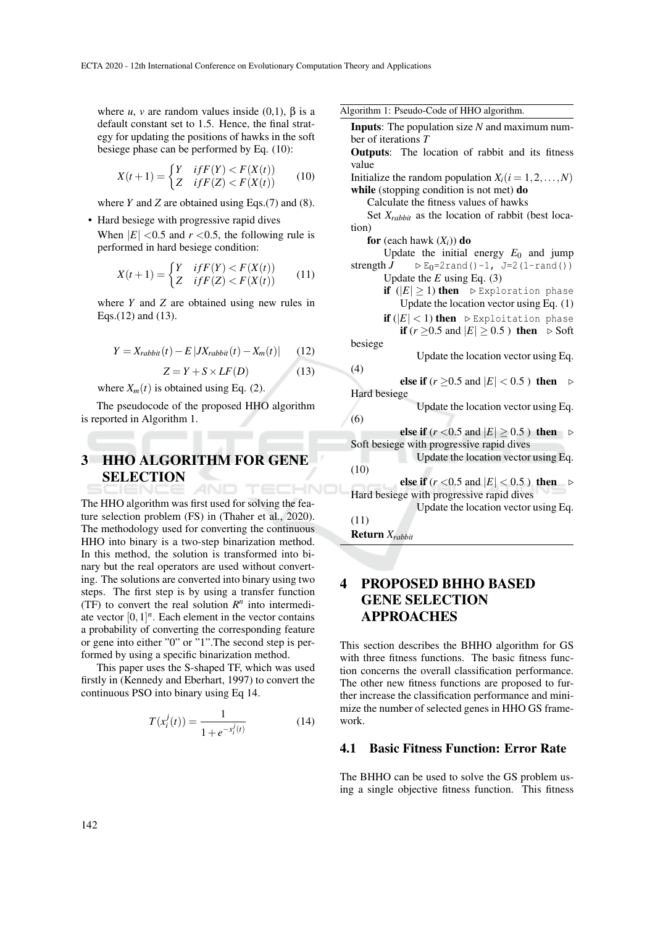where *u*, *v* are random values inside (0,1),  $\beta$  is a default constant set to 1.5. Hence, the final strategy for updating the positions of hawks in the soft besiege phase can be performed by Eq. (10):

$$
X(t+1) = \begin{cases} Y & \text{if } F(Y) < F(X(t)) \\ Z & \text{if } F(Z) < F(X(t)) \end{cases} \tag{10}
$$

where  $Y$  and  $Z$  are obtained using Eqs.(7) and (8).

• Hard besiege with progressive rapid dives When  $|E|$  <0.5 and  $r$  <0.5, the following rule is performed in hard besiege condition:

$$
X(t+1) = \begin{cases} Y & \text{if } F(Y) < F(X(t)) \\ Z & \text{if } F(Z) < F(X(t)) \end{cases} \tag{11}
$$

where *Y* and *Z* are obtained using new rules in Eqs.(12) and (13).

$$
Y = X_{rabbit}(t) - E|JX_{rabbit}(t) - X_m(t)| \qquad (12)
$$

$$
Z = Y + S \times LF(D) \qquad (13)
$$

where  $X_m(t)$  is obtained using Eq. (2).

The pseudocode of the proposed HHO algorithm is reported in Algorithm 1.

### 3 HHO ALGORITHM FOR GENE **SELECTION** AND TECHNO

The HHO algorithm was first used for solving the feature selection problem (FS) in (Thaher et al., 2020). The methodology used for converting the continuous HHO into binary is a two-step binarization method. In this method, the solution is transformed into binary but the real operators are used without converting. The solutions are converted into binary using two steps. The first step is by using a transfer function (TF) to convert the real solution  $R^n$  into intermediate vector  $[0, 1]^n$ . Each element in the vector contains a probability of converting the corresponding feature or gene into either "0" or "1".The second step is performed by using a specific binarization method.

This paper uses the S-shaped TF, which was used firstly in (Kennedy and Eberhart, 1997) to convert the continuous PSO into binary using Eq 14.

$$
T(x_i^j(t)) = \frac{1}{1 + e^{-x_i^j(t)}}\tag{14}
$$

Inputs: The population size *N* and maximum number of iterations *T* Outputs: The location of rabbit and its fitness value Initialize the random population  $X_i$  ( $i = 1, 2, ..., N$ ) while (stopping condition is not met) do Calculate the fitness values of hawks Set  $X_{rabbit}$  as the location of rabbit (best location) for (each hawk  $(X_i)$ ) do Update the initial energy  $E_0$  and jump<br>strength  $J \rightarrow E_0 = 2$  rand () -1, J=2 (1-rand ())  $\triangleright$  E<sub>0</sub>=2rand()-1, J=2(1-rand()) Update the *E* using Eq. (3) if  $(|E| \ge 1)$  then  $\triangleright$  Exploration phase Update the location vector using Eq. (1) if  $(|E| < 1)$  then  $\triangleright$  Exploitation phase if ( $r \ge 0.5$  and  $|E| \ge 0.5$ ) then  $\triangleright$  Soft besiege Update the location vector using Eq. (4) else if ( $r \ge 0.5$  and  $|E| < 0.5$ ) then  $\triangleright$ Hard besiege Update the location vector using Eq. (6) else if  $(r < 0.5$  and  $|E| \ge 0.5$  ) then  $\triangleright$ Soft besiege with progressive rapid dives Update the location vector using Eq. (10) else if  $(r < 0.5$  and  $|E| < 0.5$  ) then  $\triangleright$ Hard besiege with progressive rapid dives Update the location vector using Eq. (11) Return *Xrabbit*

## PROPOSED BHHO BASED GENE SELECTION APPROACHES

This section describes the BHHO algorithm for GS with three fitness functions. The basic fitness function concerns the overall classification performance. The other new fitness functions are proposed to further increase the classification performance and minimize the number of selected genes in HHO GS framework.

### 4.1 Basic Fitness Function: Error Rate

The BHHO can be used to solve the GS problem using a single objective fitness function. This fitness

Algorithm 1: Pseudo-Code of HHO algorithm.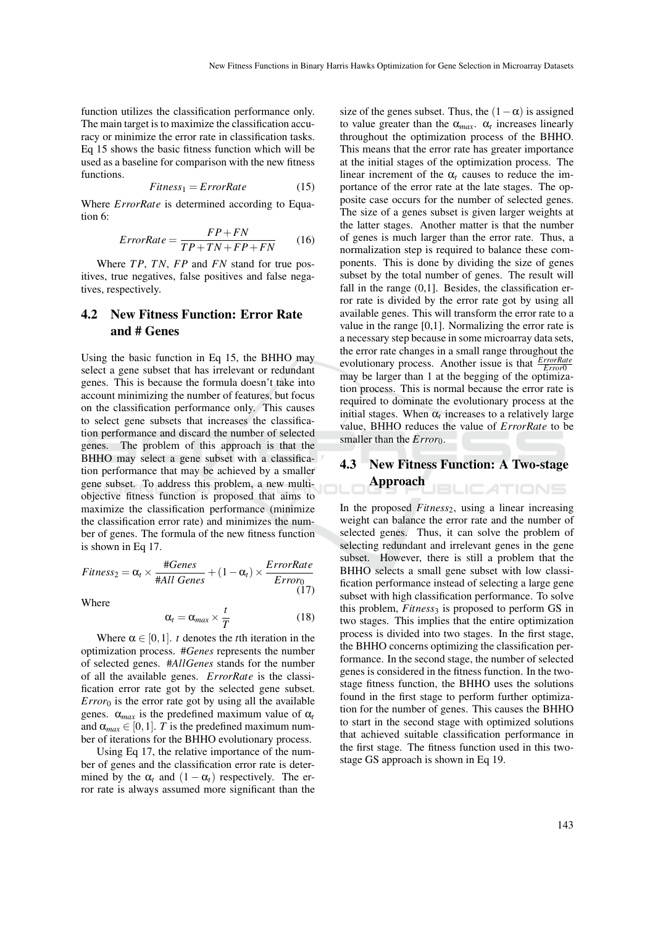function utilizes the classification performance only. The main target is to maximize the classification accuracy or minimize the error rate in classification tasks. Eq 15 shows the basic fitness function which will be used as a baseline for comparison with the new fitness functions.

$$
Fitness_1 = ErrorRate
$$
 (15)

Where *ErrorRate* is determined according to Equation 6:

$$
ErrorRate = \frac{FP + FN}{TP + TN + FP + FN} \tag{16}
$$

Where *T P*, *TN*, *FP* and *FN* stand for true positives, true negatives, false positives and false negatives, respectively.

## 4.2 New Fitness Function: Error Rate and # Genes

Using the basic function in Eq 15, the BHHO may select a gene subset that has irrelevant or redundant genes. This is because the formula doesn't take into account minimizing the number of features, but focus on the classification performance only. This causes to select gene subsets that increases the classification performance and discard the number of selected genes. The problem of this approach is that the BHHO may select a gene subset with a classification performance that may be achieved by a smaller gene subset. To address this problem, a new multiobjective fitness function is proposed that aims to maximize the classification performance (minimize the classification error rate) and minimizes the number of genes. The formula of the new fitness function is shown in Eq 17.

$$
Fitness_2 = \alpha_t \times \frac{\#Genes}{\#All Genes} + (1 - \alpha_t) \times \frac{ErrorRate}{Error_0}
$$
\n(17)

Where

$$
\alpha_t = \alpha_{max} \times \frac{t}{T} \tag{18}
$$

Where  $\alpha \in [0,1]$ . *t* denotes the *t*th iteration in the optimization process. #*Genes* represents the number of selected genes. #*AllGenes* stands for the number of all the available genes. *ErrorRate* is the classification error rate got by the selected gene subset. *Error*<sup>0</sup> is the error rate got by using all the available genes.  $\alpha_{max}$  is the predefined maximum value of  $\alpha_t$ and  $\alpha_{max} \in [0, 1]$ . *T* is the predefined maximum number of iterations for the BHHO evolutionary process.

Using Eq 17, the relative importance of the number of genes and the classification error rate is determined by the  $\alpha_t$  and  $(1 - \alpha_t)$  respectively. The error rate is always assumed more significant than the

size of the genes subset. Thus, the  $(1 - \alpha)$  is assigned to value greater than the  $\alpha_{max}$ .  $\alpha_t$  increases linearly throughout the optimization process of the BHHO. This means that the error rate has greater importance at the initial stages of the optimization process. The linear increment of the  $\alpha_t$  causes to reduce the importance of the error rate at the late stages. The opposite case occurs for the number of selected genes. The size of a genes subset is given larger weights at the latter stages. Another matter is that the number of genes is much larger than the error rate. Thus, a normalization step is required to balance these components. This is done by dividing the size of genes subset by the total number of genes. The result will fall in the range  $(0,1]$ . Besides, the classification error rate is divided by the error rate got by using all available genes. This will transform the error rate to a value in the range [0,1]. Normalizing the error rate is a necessary step because in some microarray data sets, the error rate changes in a small range throughout the evolutionary process. Another issue is that *ErrorRate* may be larger than 1 at the begging of the optimization process. This is normal because the error rate is required to dominate the evolutionary process at the initial stages. When  $\alpha_t$  increases to a relatively large value, BHHO reduces the value of *ErrorRate* to be smaller than the *Error*<sub>0</sub>.

#### 4.3 New Fitness Function: A Two-stage Approach **ILICATIONS**

In the proposed *Fitness*2, using a linear increasing weight can balance the error rate and the number of selected genes. Thus, it can solve the problem of selecting redundant and irrelevant genes in the gene subset. However, there is still a problem that the BHHO selects a small gene subset with low classification performance instead of selecting a large gene subset with high classification performance. To solve this problem, *Fitness*<sub>3</sub> is proposed to perform GS in two stages. This implies that the entire optimization process is divided into two stages. In the first stage, the BHHO concerns optimizing the classification performance. In the second stage, the number of selected genes is considered in the fitness function. In the twostage fitness function, the BHHO uses the solutions found in the first stage to perform further optimization for the number of genes. This causes the BHHO to start in the second stage with optimized solutions that achieved suitable classification performance in the first stage. The fitness function used in this twostage GS approach is shown in Eq 19.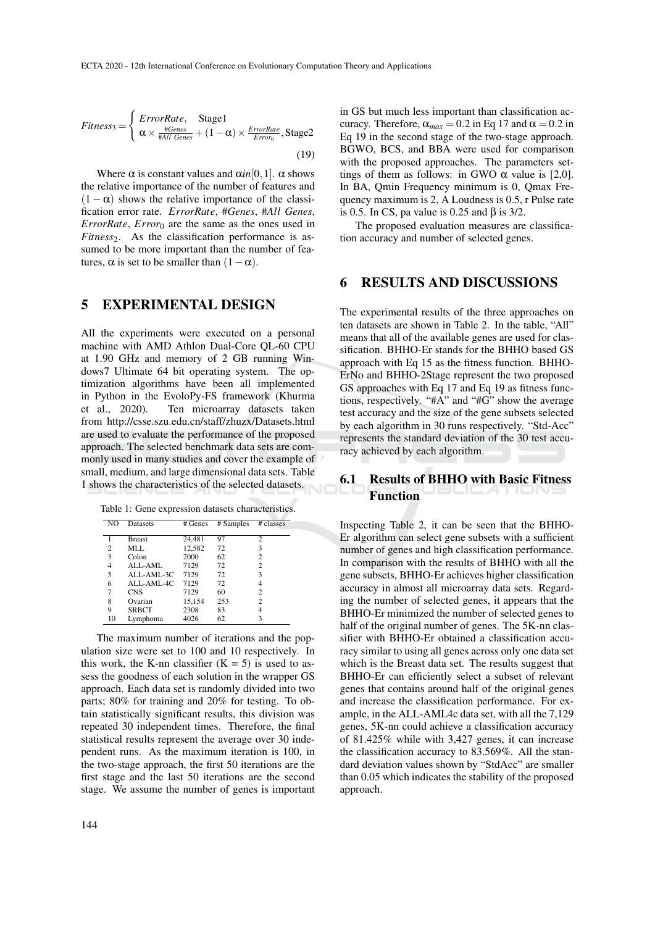$$
Fitness_{3} = \begin{cases} ErrorRate, \quad Stage1\\ \alpha \times \frac{\#Genes}{\# All Genes} + (1 - \alpha) \times \frac{ErrorRate}{Error}, \quad Stage2 \end{cases}
$$
(19)

Where  $\alpha$  is constant values and  $\alpha in[0,1]$ .  $\alpha$  shows the relative importance of the number of features and  $(1 - \alpha)$  shows the relative importance of the classification error rate. *ErrorRate*, #*Genes*, #*All Genes*, *ErrorRate*, *Error*<sup>0</sup> are the same as the ones used in *Fitness*<sub>2</sub>. As the classification performance is assumed to be more important than the number of features,  $\alpha$  is set to be smaller than  $(1-\alpha)$ .

## 5 EXPERIMENTAL DESIGN

All the experiments were executed on a personal machine with AMD Athlon Dual-Core QL-60 CPU at 1.90 GHz and memory of 2 GB running Windows7 Ultimate 64 bit operating system. The optimization algorithms have been all implemented in Python in the EvoloPy-FS framework (Khurma et al., 2020). Ten microarray datasets taken from http://csse.szu.edu.cn/staff/zhuzx/Datasets.html are used to evaluate the performance of the proposed approach. The selected benchmark data sets are commonly used in many studies and cover the example of small, medium, and large dimensional data sets. Table 1 shows the characteristics of the selected datasets.

Table 1: Gene expression datasets characteristics.

| NO             | Datasets      | # Genes | # Samples | # classes      |
|----------------|---------------|---------|-----------|----------------|
|                |               |         |           |                |
|                | <b>Breast</b> | 24,481  | 97        | $\overline{c}$ |
| $\overline{c}$ | MLL           | 12,582  | 72        | 3              |
| 3              | Colon         | 2000    | 62        | 2              |
| 4              | ALL-AML       | 7129    | 72        | 2              |
| 5              | ALL-AML-3C    | 7129    | 72        | 3              |
| 6              | ALL-AML-4C    | 7129    | 72        | 4              |
| 7              | <b>CNS</b>    | 7129    | 60        | 2              |
| 8              | Ovarian       | 15,154  | 253       | 2              |
| 9              | <b>SRBCT</b>  | 2308    | 83        | 4              |
| 10             | Lymphoma      | 4026    | 62        | 3              |

The maximum number of iterations and the population size were set to 100 and 10 respectively. In this work, the K-nn classifier  $(K = 5)$  is used to assess the goodness of each solution in the wrapper GS approach. Each data set is randomly divided into two parts; 80% for training and 20% for testing. To obtain statistically significant results, this division was repeated 30 independent times. Therefore, the final statistical results represent the average over 30 independent runs. As the maximum iteration is 100, in the two-stage approach, the first 50 iterations are the first stage and the last 50 iterations are the second stage. We assume the number of genes is important

in GS but much less important than classification accuracy. Therefore,  $\alpha_{max} = 0.2$  in Eq 17 and  $\alpha = 0.2$  in Eq 19 in the second stage of the two-stage approach. BGWO, BCS, and BBA were used for comparison with the proposed approaches. The parameters settings of them as follows: in GWO  $\alpha$  value is [2,0]. In BA, Qmin Frequency minimum is 0, Qmax Frequency maximum is 2, A Loudness is 0.5, r Pulse rate is 0.5. In CS, pa value is 0.25 and  $\beta$  is 3/2.

The proposed evaluation measures are classification accuracy and number of selected genes.

## 6 RESULTS AND DISCUSSIONS

The experimental results of the three approaches on ten datasets are shown in Table 2. In the table, "All" means that all of the available genes are used for classification. BHHO-Er stands for the BHHO based GS approach with Eq 15 as the fitness function. BHHO-ErNo and BHHO-2Stage represent the two proposed GS approaches with Eq 17 and Eq 19 as fitness functions, respectively. "#A" and "#G" show the average test accuracy and the size of the gene subsets selected by each algorithm in 30 runs respectively. "Std-Acc" represents the standard deviation of the 30 test accuracy achieved by each algorithm.

## 6.1 Results of BHHO with Basic Fitness Function

Inspecting Table 2, it can be seen that the BHHO-Er algorithm can select gene subsets with a sufficient number of genes and high classification performance. In comparison with the results of BHHO with all the gene subsets, BHHO-Er achieves higher classification accuracy in almost all microarray data sets. Regarding the number of selected genes, it appears that the BHHO-Er minimized the number of selected genes to half of the original number of genes. The 5K-nn classifier with BHHO-Er obtained a classification accuracy similar to using all genes across only one data set which is the Breast data set. The results suggest that BHHO-Er can efficiently select a subset of relevant genes that contains around half of the original genes and increase the classification performance. For example, in the ALL-AML4c data set, with all the 7,129 genes, 5K-nn could achieve a classification accuracy of 81.425% while with 3,427 genes, it can increase the classification accuracy to 83.569%. All the standard deviation values shown by "StdAcc" are smaller than 0.05 which indicates the stability of the proposed approach.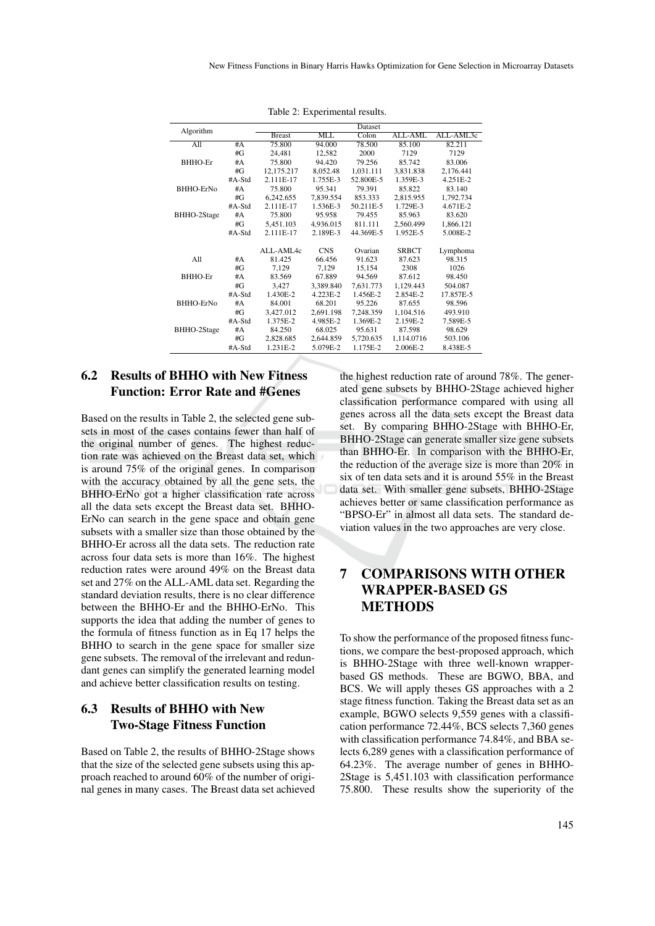| Algorithm        |          | Dataset       |            |           |              |           |  |
|------------------|----------|---------------|------------|-----------|--------------|-----------|--|
|                  |          | <b>Breast</b> | MLL        | Colon     | ALL-AML      | ALL-AML3c |  |
| A11              | #A       | 75.800        | 94.000     | 78.500    | 85.100       | 82.211    |  |
|                  | #G       | 24.481        | 12,582     | 2000      | 7129         | 7129      |  |
| BHHO-Er          | #A       | 75.800        | 94.420     | 79.256    | 85.742       | 83.006    |  |
|                  | # $G$    | 12,175.217    | 8,052.48   | 1,031.111 | 3,831.838    | 2,176.441 |  |
|                  | $#A-Std$ | 2.111E-17     | 1.755E-3   | 52.800E-5 | 1.359E-3     | 4.251E-2  |  |
| BHHO-ErNo        | #A       | 75.800        | 95.341     | 79.391    | 85.822       | 83.140    |  |
|                  | #G       | 6.242.655     | 7.839.554  | 853.333   | 2.815.955    | 1.792.734 |  |
|                  | $#A-Std$ | 2.111E-17     | 1.536E-3   | 50.211E-5 | 1.729E-3     | 4.671E-2  |  |
| BHHO-2Stage      | #A       | 75.800        | 95.958     | 79.455    | 85.963       | 83.620    |  |
|                  | # $G$    | 5,451.103     | 4,936.015  | 811.111   | 2,560.499    | 1,866.121 |  |
|                  | $#A-Std$ | 2.111E-17     | 2.189E-3   | 44.369E-5 | 1.952E-5     | 5.008E-2  |  |
|                  |          |               |            |           |              |           |  |
|                  |          | ALL-AML4c     | <b>CNS</b> | Ovarian   | <b>SRBCT</b> | Lymphoma  |  |
| A11              | #A       | 81.425        | 66.456     | 91.623    | 87.623       | 98.315    |  |
|                  | #G       | 7,129         | 7.129      | 15,154    | 2308         | 1026      |  |
| BHHO-Er          | #A       | 83.569        | 67.889     | 94.569    | 87.612       | 98.450    |  |
|                  | #G       | 3,427         | 3,389.840  | 7,631.773 | 1,129.443    | 504.087   |  |
|                  | $#A-Std$ | 1.430E-2      | 4.223E-2   | 1.456E-2  | 2.854E-2     | 17.857E-5 |  |
| <b>BHHO-ErNo</b> | #A       | 84.001        | 68.201     | 95.226    | 87.655       | 98.596    |  |
|                  | #G       | 3,427.012     | 2,691.198  | 7,248.359 | 1,104.516    | 493.910   |  |
|                  | $#A-Std$ | 1.375E-2      | 4.985E-2   | 1.369E-2  | 2.159E-2     | 7.589E-5  |  |
| BHHO-2Stage      | #A       | 84.250        | 68.025     | 95.631    | 87.598       | 98.629    |  |
|                  | #G       | 2,828.685     | 2,644.859  | 5,720.635 | 1,114.0716   | 503.106   |  |
|                  | $#A-Std$ | 1.231E-2      | 5.079E-2   | 1.175E-2  | 2.006E-2     | 8.438E-5  |  |

Table 2: Experimental results.

## 6.2 Results of BHHO with New Fitness Function: Error Rate and #Genes

Based on the results in Table 2, the selected gene subsets in most of the cases contains fewer than half of the original number of genes. The highest reduction rate was achieved on the Breast data set, which is around 75% of the original genes. In comparison with the accuracy obtained by all the gene sets, the BHHO-ErNo got a higher classification rate across all the data sets except the Breast data set. BHHO-ErNo can search in the gene space and obtain gene subsets with a smaller size than those obtained by the BHHO-Er across all the data sets. The reduction rate across four data sets is more than 16%. The highest reduction rates were around 49% on the Breast data set and 27% on the ALL-AML data set. Regarding the standard deviation results, there is no clear difference between the BHHO-Er and the BHHO-ErNo. This supports the idea that adding the number of genes to the formula of fitness function as in Eq 17 helps the BHHO to search in the gene space for smaller size gene subsets. The removal of the irrelevant and redundant genes can simplify the generated learning model and achieve better classification results on testing.

## 6.3 Results of BHHO with New Two-Stage Fitness Function

Based on Table 2, the results of BHHO-2Stage shows that the size of the selected gene subsets using this approach reached to around 60% of the number of original genes in many cases. The Breast data set achieved

the highest reduction rate of around 78%. The generated gene subsets by BHHO-2Stage achieved higher classification performance compared with using all genes across all the data sets except the Breast data set. By comparing BHHO-2Stage with BHHO-Er, BHHO-2Stage can generate smaller size gene subsets than BHHO-Er. In comparison with the BHHO-Er, the reduction of the average size is more than 20% in six of ten data sets and it is around 55% in the Breast data set. With smaller gene subsets, BHHO-2Stage achieves better or same classification performance as "BPSO-Er" in almost all data sets. The standard deviation values in the two approaches are very close.

## 7 COMPARISONS WITH OTHER WRAPPER-BASED GS **METHODS**

To show the performance of the proposed fitness functions, we compare the best-proposed approach, which is BHHO-2Stage with three well-known wrapperbased GS methods. These are BGWO, BBA, and BCS. We will apply theses GS approaches with a 2 stage fitness function. Taking the Breast data set as an example, BGWO selects 9,559 genes with a classification performance 72.44%, BCS selects 7,360 genes with classification performance 74.84%, and BBA selects 6,289 genes with a classification performance of 64.23%. The average number of genes in BHHO-2Stage is 5,451.103 with classification performance 75.800. These results show the superiority of the